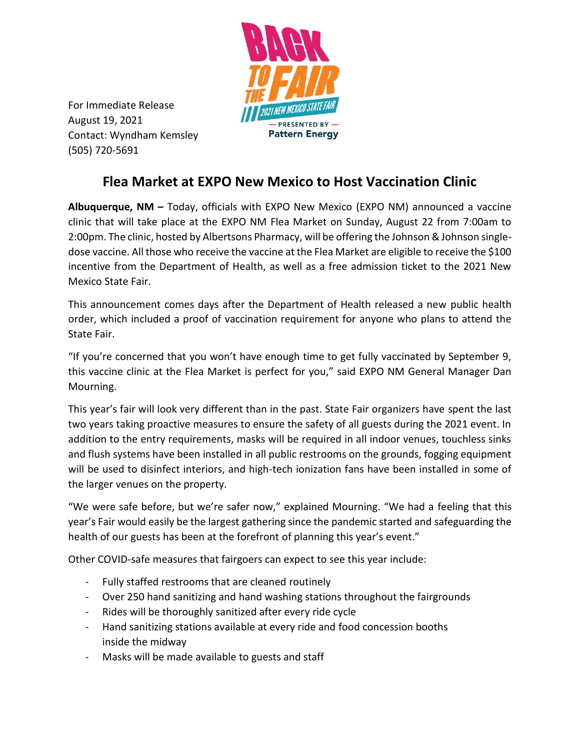

For Immediate Release August 19, 2021 Contact: Wyndham Kemsley (505) 720-5691

## **Flea Market at EXPO New Mexico to Host Vaccination Clinic**

**Albuquerque, NM –** Today, officials with EXPO New Mexico (EXPO NM) announced a vaccine clinic that will take place at the EXPO NM Flea Market on Sunday, August 22 from 7:00am to 2:00pm. The clinic, hosted by Albertsons Pharmacy, will be offering the Johnson & Johnson singledose vaccine. All those who receive the vaccine at the Flea Market are eligible to receive the \$100 incentive from the Department of Health, as well as a free admission ticket to the 2021 New Mexico State Fair.

This announcement comes days after the Department of Health released a new public health order, which included a proof of vaccination requirement for anyone who plans to attend the State Fair.

"If you're concerned that you won't have enough time to get fully vaccinated by September 9, this vaccine clinic at the Flea Market is perfect for you," said EXPO NM General Manager Dan Mourning.

This year's fair will look very different than in the past. State Fair organizers have spent the last two years taking proactive measures to ensure the safety of all guests during the 2021 event. In addition to the entry requirements, masks will be required in all indoor venues, touchless sinks and flush systems have been installed in all public restrooms on the grounds, fogging equipment will be used to disinfect interiors, and high-tech ionization fans have been installed in some of the larger venues on the property.

"We were safe before, but we're safer now," explained Mourning. "We had a feeling that this year's Fair would easily be the largest gathering since the pandemic started and safeguarding the health of our guests has been at the forefront of planning this year's event."

Other COVID-safe measures that fairgoers can expect to see this year include:

- Fully staffed restrooms that are cleaned routinely
- Over 250 hand sanitizing and hand washing stations throughout the fairgrounds
- Rides will be thoroughly sanitized after every ride cycle
- Hand sanitizing stations available at every ride and food concession booths inside the midway
- Masks will be made available to guests and staff